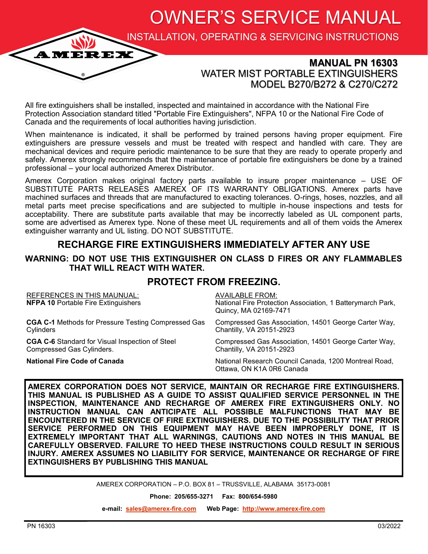OWNER'S SERVICE MANUAL

INSTALLATION, OPERATING & SERVICING INSTRUCTIONS

## **MANUAL PN 16303** WATER MIST PORTABLE EXTINGUISHERS MODEL B270/B272 & C270/C272

All fire extinguishers shall be installed, inspected and maintained in accordance with the National Fire Protection Association standard titled "Portable Fire Extinguishers", NFPA 10 or the National Fire Code of Canada and the requirements of local authorities having jurisdiction.

When maintenance is indicated, it shall be performed by trained persons having proper equipment. Fire extinguishers are pressure vessels and must be treated with respect and handled with care. They are mechanical devices and require periodic maintenance to be sure that they are ready to operate properly and safely. Amerex strongly recommends that the maintenance of portable fire extinguishers be done by a trained professional – your local authorized Amerex Distributor.

Amerex Corporation makes original factory parts available to insure proper maintenance – USE OF SUBSTITUTE PARTS RELEASES AMEREX OF ITS WARRANTY OBLIGATIONS. Amerex parts have machined surfaces and threads that are manufactured to exacting tolerances. O-rings, hoses, nozzles, and all metal parts meet precise specifications and are subjected to multiple in-house inspections and tests for acceptability. There are substitute parts available that may be incorrectly labeled as UL component parts, some are advertised as Amerex type. None of these meet UL requirements and all of them voids the Amerex extinguisher warranty and UL listing. DO NOT SUBSTITUTE.

# **RECHARGE FIRE EXTINGUISHERS IMMEDIATELY AFTER ANY USE**

#### **WARNING: DO NOT USE THIS EXTINGUISHER ON CLASS D FIRES OR ANY FLAMMABLES THAT WILL REACT WITH WATER.**

### **PROTECT FROM FREEZING.**

| <b>REFERENCES IN THIS MAUNUAL:</b><br><b>NFPA 10 Portable Fire Extinguishers</b> | <b>AVAILABLE FROM:</b><br>National Fire Protection Association, 1 Batterymarch Park,<br>Quincy, MA 02169-7471 |
|----------------------------------------------------------------------------------|---------------------------------------------------------------------------------------------------------------|
| <b>CGA C-1</b> Methods for Pressure Testing Compressed Gas                       | Compressed Gas Association, 14501 George Carter Way,                                                          |
| Cylinders                                                                        | Chantilly, VA 20151-2923                                                                                      |
| <b>CGA C-6</b> Standard for Visual Inspection of Steel                           | Compressed Gas Association, 14501 George Carter Way,                                                          |
| Compressed Gas Cylinders.                                                        | Chantilly, VA 20151-2923                                                                                      |
| <b>National Fire Code of Canada</b>                                              | National Research Council Canada, 1200 Montreal Road,<br>Ottawa, ON K1A 0R6 Canada                            |

**AMEREX CORPORATION DOES NOT SERVICE, MAINTAIN OR RECHARGE FIRE EXTINGUISHERS. THIS MANUAL IS PUBLISHED AS A GUIDE TO ASSIST QUALIFIED SERVICE PERSONNEL IN THE INSPECTION, MAINTENANCE AND RECHARGE OF AMEREX FIRE EXTINGUISHERS ONLY. NO INSTRUCTION MANUAL CAN ANTICIPATE ALL POSSIBLE MALFUNCTIONS THAT MAY BE ENCOUNTERED IN THE SERVICE OF FIRE EXTINGUISHERS. DUE TO THE POSSIBILITY THAT PRIOR SERVICE PERFORMED ON THIS EQUIPMENT MAY HAVE BEEN IMPROPERLY DONE, IT IS EXTREMELY IMPORTANT THAT ALL WARNINGS, CAUTIONS AND NOTES IN THIS MANUAL BE CAREFULLY OBSERVED. FAILURE TO HEED THESE INSTRUCTIONS COULD RESULT IN SERIOUS INJURY. AMEREX ASSUMES NO LIABILITY FOR SERVICE, MAINTENANCE OR RECHARGE OF FIRE EXTINGUISHERS BY PUBLISHING THIS MANUAL** 

AMEREX CORPORATION – P.O. BOX 81 – TRUSSVILLE, ALABAMA 35173-0081

**Phone: 205/655-3271 Fax: 800/654-5980**

**e-mail: [sales@amerex](mailto:sales@amerex-fire.com)-fire.com Web Page: [http://www.amerex](https://www.amerex-fire.com/)-fire.com**

**AME**I

REX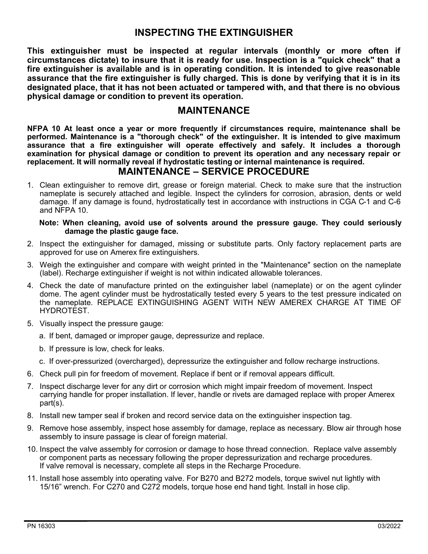## **INSPECTING THE EXTINGUISHER**

**This extinguisher must be inspected at regular intervals (monthly or more often if circumstances dictate) to insure that it is ready for use. Inspection is a "quick check" that a fire extinguisher is available and is in operating condition. It is intended to give reasonable assurance that the fire extinguisher is fully charged. This is done by verifying that it is in its designated place, that it has not been actuated or tampered with, and that there is no obvious physical damage or condition to prevent its operation.**

#### **MAINTENANCE**

**NFPA 10 At least once a year or more frequently if circumstances require, maintenance shall be performed. Maintenance is a "thorough check" of the extinguisher. It is intended to give maximum assurance that a fire extinguisher will operate effectively and safely. It includes a thorough examination for physical damage or condition to prevent its operation and any necessary repair or replacement. It will normally reveal if hydrostatic testing or internal maintenance is required.**

### **MAINTENANCE – SERVICE PROCEDURE**

1. Clean extinguisher to remove dirt, grease or foreign material. Check to make sure that the instruction nameplate is securely attached and legible. Inspect the cylinders for corrosion, abrasion, dents or weld damage. If any damage is found, hydrostatically test in accordance with instructions in CGA C-1 and C-6 and NFPA 10.

#### **Note: When cleaning, avoid use of solvents around the pressure gauge. They could seriously damage the plastic gauge face.**

- 2. Inspect the extinguisher for damaged, missing or substitute parts. Only factory replacement parts are approved for use on Amerex fire extinguishers.
- 3. Weigh the extinguisher and compare with weight printed in the "Maintenance" section on the nameplate (label). Recharge extinguisher if weight is not within indicated allowable tolerances.
- 4. Check the date of manufacture printed on the extinguisher label (nameplate) or on the agent cylinder dome. The agent cylinder must be hydrostatically tested every 5 years to the test pressure indicated on the nameplate. REPLACE EXTINGUISHING AGENT WITH NEW AMEREX CHARGE AT TIME OF HYDROTEST.
- 5. Visually inspect the pressure gauge:
	- a. If bent, damaged or improper gauge, depressurize and replace.
	- b. If pressure is low, check for leaks.
	- c. If over-pressurized (overcharged), depressurize the extinguisher and follow recharge instructions.
- 6. Check pull pin for freedom of movement. Replace if bent or if removal appears difficult.
- 7. Inspect discharge lever for any dirt or corrosion which might impair freedom of movement. Inspect carrying handle for proper installation. If lever, handle or rivets are damaged replace with proper Amerex part(s).
- 8. Install new tamper seal if broken and record service data on the extinguisher inspection tag.
- 9. Remove hose assembly, inspect hose assembly for damage, replace as necessary. Blow air through hose assembly to insure passage is clear of foreign material.
- 10. Inspect the valve assembly for corrosion or damage to hose thread connection. Replace valve assembly or component parts as necessary following the proper depressurization and recharge procedures. If valve removal is necessary, complete all steps in the Recharge Procedure.
- 11. Install hose assembly into operating valve. For B270 and B272 models, torque swivel nut lightly with 15/16" wrench. For C270 and C272 models, torque hose end hand tight. Install in hose clip.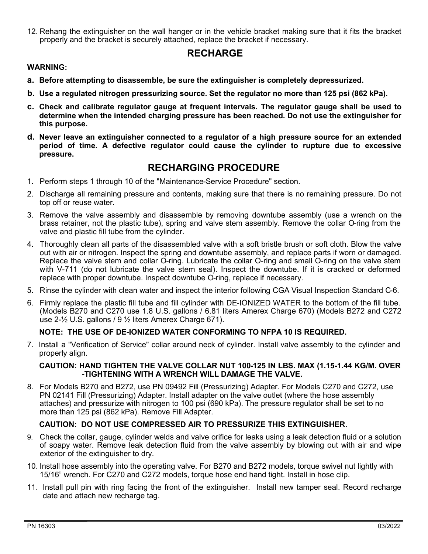12. Rehang the extinguisher on the wall hanger or in the vehicle bracket making sure that it fits the bracket properly and the bracket is securely attached, replace the bracket if necessary.

## **RECHARGE**

#### **WARNING:**

- **a. Before attempting to disassemble, be sure the extinguisher is completely depressurized.**
- **b. Use a regulated nitrogen pressurizing source. Set the regulator no more than 125 psi (862 kPa).**
- **c. Check and calibrate regulator gauge at frequent intervals. The regulator gauge shall be used to determine when the intended charging pressure has been reached. Do not use the extinguisher for this purpose.**
- **d. Never leave an extinguisher connected to a regulator of a high pressure source for an extended period of time. A defective regulator could cause the cylinder to rupture due to excessive pressure.**

#### **RECHARGING PROCEDURE**

- 1. Perform steps 1 through 10 of the "Maintenance-Service Procedure" section.
- 2. Discharge all remaining pressure and contents, making sure that there is no remaining pressure. Do not top off or reuse water.
- 3. Remove the valve assembly and disassemble by removing downtube assembly (use a wrench on the brass retainer, not the plastic tube), spring and valve stem assembly. Remove the collar O-ring from the valve and plastic fill tube from the cylinder.
- 4. Thoroughly clean all parts of the disassembled valve with a soft bristle brush or soft cloth. Blow the valve out with air or nitrogen. Inspect the spring and downtube assembly, and replace parts if worn or damaged. Replace the valve stem and collar O-ring. Lubricate the collar O-ring and small O-ring on the valve stem with V-711 (do not lubricate the valve stem seal). Inspect the downtube. If it is cracked or deformed replace with proper downtube. Inspect downtube O-ring, replace if necessary.
- 5. Rinse the cylinder with clean water and inspect the interior following CGA Visual Inspection Standard C-6.
- 6. Firmly replace the plastic fill tube and fill cylinder with DE-IONIZED WATER to the bottom of the fill tube. (Models B270 and C270 use 1.8 U.S. gallons / 6.81 liters Amerex Charge 670) (Models B272 and C272 use 2-½ U.S. gallons / 9 ½ liters Amerex Charge 671).

#### **NOTE: THE USE OF DE-IONIZED WATER CONFORMING TO NFPA 10 IS REQUIRED.**

7. Install a "Verification of Service" collar around neck of cylinder. Install valve assembly to the cylinder and properly align.

#### **CAUTION: HAND TIGHTEN THE VALVE COLLAR NUT 100-125 IN LBS. MAX (1.15-1.44 KG/M. OVER -TIGHTENING WITH A WRENCH WILL DAMAGE THE VALVE.**

8. For Models B270 and B272, use PN 09492 Fill (Pressurizing) Adapter. For Models C270 and C272, use PN 02141 Fill (Pressurizing) Adapter. Install adapter on the valve outlet (where the hose assembly attaches) and pressurize with nitrogen to 100 psi (690 kPa). The pressure regulator shall be set to no more than 125 psi (862 kPa). Remove Fill Adapter.

#### **CAUTION: DO NOT USE COMPRESSED AIR TO PRESSURIZE THIS EXTINGUISHER.**

- 9. Check the collar, gauge, cylinder welds and valve orifice for leaks using a leak detection fluid or a solution of soapy water. Remove leak detection fluid from the valve assembly by blowing out with air and wipe exterior of the extinguisher to dry.
- 10. Install hose assembly into the operating valve. For B270 and B272 models, torque swivel nut lightly with 15/16" wrench. For C270 and C272 models, torque hose end hand tight. Install in hose clip.
- 11. Install pull pin with ring facing the front of the extinguisher. Install new tamper seal. Record recharge date and attach new recharge tag.